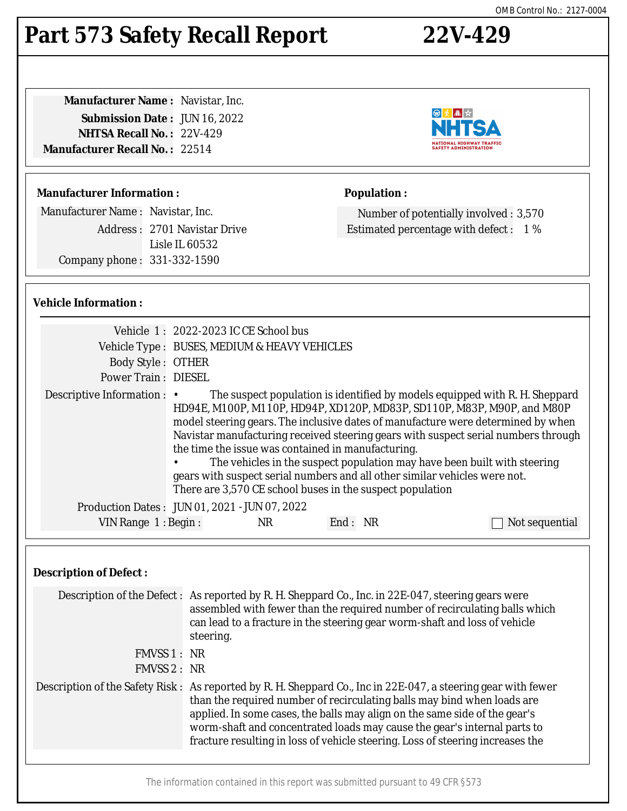# **Part 573 Safety Recall Report 22V-429**

| <b>Manufacturer Name: Navistar, Inc.</b> |  |
|------------------------------------------|--|
| <b>Submission Date: JUN 16, 2022</b>     |  |
| <b>NHTSA Recall No.: 22V-429</b>         |  |
| <b>Manufacturer Recall No. : 22514</b>   |  |
|                                          |  |

### **Manufacturer Information :**

Manufacturer Name : Navistar, Inc.

Address : 2701 Navistar Drive Lisle IL 60532 Company phone : 331-332-1590

### **Vehicle Information :**

| <b>Body Style: OTHER</b><br><b>Power Train: DIESEL</b>                 | Vehicle 1: 2022-2023 IC CE School bus<br>Vehicle Type : BUSES, MEDIUM & HEAVY VEHICLES                                                                                                                                                                                                                                                                                                                                                                                                                                                                                                                        |     |         |                |
|------------------------------------------------------------------------|---------------------------------------------------------------------------------------------------------------------------------------------------------------------------------------------------------------------------------------------------------------------------------------------------------------------------------------------------------------------------------------------------------------------------------------------------------------------------------------------------------------------------------------------------------------------------------------------------------------|-----|---------|----------------|
| Descriptive Information : •                                            | The suspect population is identified by models equipped with R. H. Sheppard<br>HD94E, M100P, M110P, HD94P, XD120P, MD83P, SD110P, M83P, M90P, and M80P<br>model steering gears. The inclusive dates of manufacture were determined by when<br>Navistar manufacturing received steering gears with suspect serial numbers through<br>the time the issue was contained in manufacturing.<br>The vehicles in the suspect population may have been built with steering<br>gears with suspect serial numbers and all other similar vehicles were not.<br>There are 3,570 CE school buses in the suspect population |     |         |                |
| Production Dates: JUN 01, 2021 - JUN 07, 2022<br>VIN Range $1:$ Begin: |                                                                                                                                                                                                                                                                                                                                                                                                                                                                                                                                                                                                               | NR. | End: NR | Not sequential |

### **Description of Defect :**

| Description of the Defect: As reported by R. H. Sheppard Co., Inc. in 22E-047, steering gears were<br>assembled with fewer than the required number of recirculating balls which<br>can lead to a fracture in the steering gear worm-shaft and loss of vehicle<br>steering.                                                                                                                                                          |
|--------------------------------------------------------------------------------------------------------------------------------------------------------------------------------------------------------------------------------------------------------------------------------------------------------------------------------------------------------------------------------------------------------------------------------------|
| FMVSS 1 : NR                                                                                                                                                                                                                                                                                                                                                                                                                         |
| FMVSS 2: NR                                                                                                                                                                                                                                                                                                                                                                                                                          |
| Description of the Safety Risk: As reported by R. H. Sheppard Co., Inc in 22E-047, a steering gear with fewer<br>than the required number of recirculating balls may bind when loads are<br>applied. In some cases, the balls may align on the same side of the gear's<br>worm-shaft and concentrated loads may cause the gear's internal parts to<br>fracture resulting in loss of vehicle steering. Loss of steering increases the |
|                                                                                                                                                                                                                                                                                                                                                                                                                                      |
|                                                                                                                                                                                                                                                                                                                                                                                                                                      |





## **Population :**

Number of potentially involved : 3,570 Estimated percentage with defect : 1 %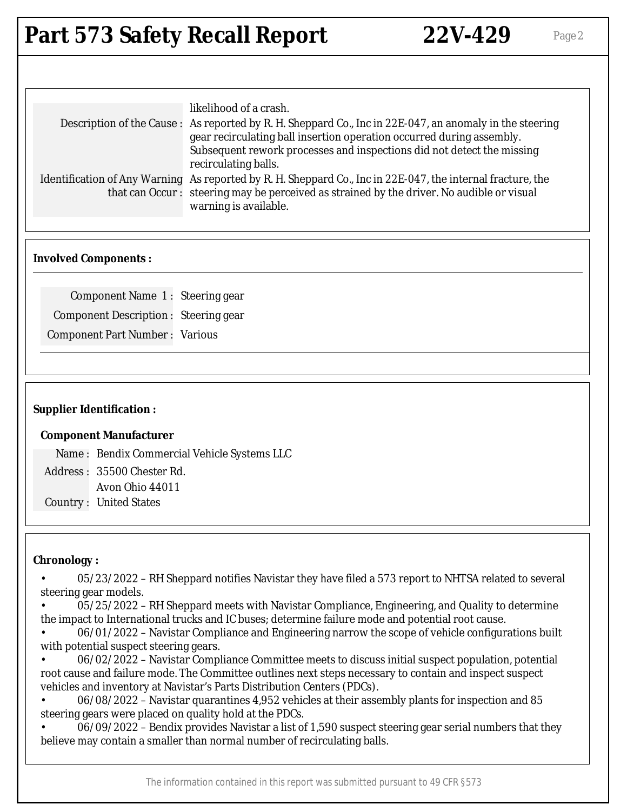# **Part 573 Safety Recall Report 22V-429** Page 2

| likelihood of a crash.<br>Description of the Cause: As reported by R. H. Sheppard Co., Inc in 22E-047, an anomaly in the steering<br>gear recirculating ball insertion operation occurred during assembly.                        |
|-----------------------------------------------------------------------------------------------------------------------------------------------------------------------------------------------------------------------------------|
| Subsequent rework processes and inspections did not detect the missing<br>recirculating balls.                                                                                                                                    |
| Identification of Any Warning As reported by R. H. Sheppard Co., Inc in 22E-047, the internal fracture, the<br>that can Occur: steering may be perceived as strained by the driver. No audible or visual<br>warning is available. |

### **Involved Components :**

Component Name 1 : Steering gear Component Description : Steering gear Component Part Number : Various

### **Supplier Identification :**

#### **Component Manufacturer**

Name : Bendix Commercial Vehicle Systems LLC Address : 35500 Chester Rd. Avon Ohio 44011 Country : United States

### **Chronology :**

• 05/23/2022 – RH Sheppard notifies Navistar they have filed a 573 report to NHTSA related to several steering gear models.

• 05/25/2022 – RH Sheppard meets with Navistar Compliance, Engineering, and Quality to determine the impact to International trucks and IC buses; determine failure mode and potential root cause.

• 06/01/2022 – Navistar Compliance and Engineering narrow the scope of vehicle configurations built with potential suspect steering gears.

• 06/02/2022 – Navistar Compliance Committee meets to discuss initial suspect population, potential root cause and failure mode. The Committee outlines next steps necessary to contain and inspect suspect vehicles and inventory at Navistar's Parts Distribution Centers (PDCs).

• 06/08/2022 – Navistar quarantines 4,952 vehicles at their assembly plants for inspection and 85 steering gears were placed on quality hold at the PDCs.

• 06/09/2022 – Bendix provides Navistar a list of 1,590 suspect steering gear serial numbers that they believe may contain a smaller than normal number of recirculating balls.